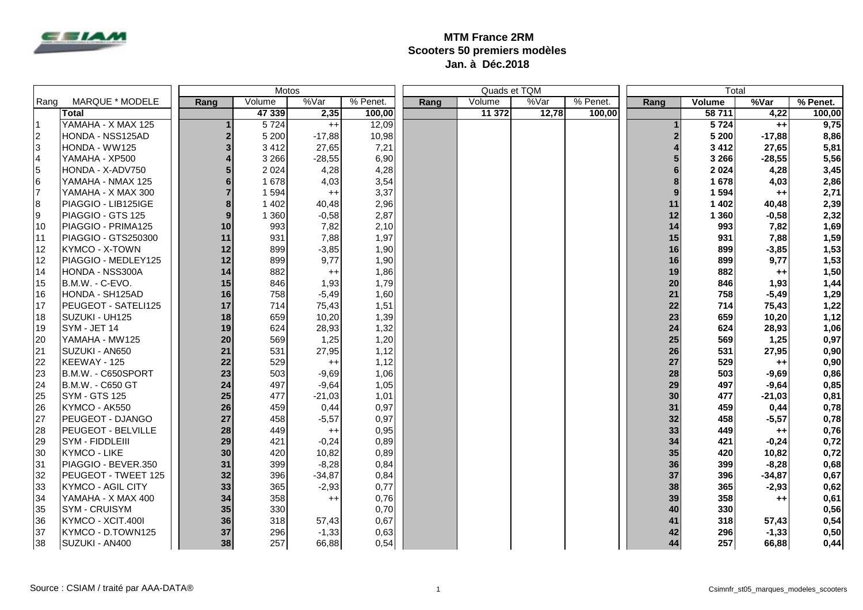

## **MTM France 2RM Scooters 50 premiers modèles Jan. à Déc.2018**

|           |                           | Motos           |         |          |          |      |        | Quads et TQM |          | Total          |         |          |          |
|-----------|---------------------------|-----------------|---------|----------|----------|------|--------|--------------|----------|----------------|---------|----------|----------|
| Rang      | MARQUE * MODELE           | Rang            | Volume  | %Var     | % Penet. | Rang | Volume | %Var         | % Penet. | Rang           | Volume  | %Var     | % Penet. |
|           | Total                     |                 | 47 339  | 2,35     | 100,00   |      | 11 372 | 12,78        | 100.00   |                | 58711   | 4,22     | 100,00   |
| I1        | YAMAHA - X MAX 125        |                 | 5 7 2 4 | $^{++}$  | 12,09    |      |        |              |          |                | 5724    | $++$     | 9,75     |
| $\vert$ 2 | HONDA - NSS125AD          | $\overline{2}$  | 5 200   | $-17,88$ | 10,98    |      |        |              |          | 2 <sub>l</sub> | 5 200   | $-17,88$ | 8,86     |
| 3         | HONDA - WW125             | 3               | 3 4 1 2 | 27,65    | 7,21     |      |        |              |          |                | 3 4 1 2 | 27,65    | 5,81     |
| 4         | YAMAHA - XP500            |                 | 3 2 6 6 | $-28,55$ | 6,90     |      |        |              |          |                | 3 2 6 6 | $-28,55$ | 5,56     |
| 5         | HONDA - X-ADV750          |                 | 2 0 2 4 | 4,28     | 4,28     |      |        |              |          |                | 2024    | 4,28     | 3,45     |
| 6         | YAMAHA - NMAX 125         |                 | 1678    | 4,03     | 3,54     |      |        |              |          |                | 1678    | 4,03     | 2,86     |
| l7        | YAMAHA - X MAX 300        |                 | 1 5 9 4 | $^{++}$  | 3,37     |      |        |              |          | 9              | 1 5 9 4 | $++$     | 2,71     |
| 8         | PIAGGIO - LIB125IGE       |                 | 1 402   | 40,48    | 2,96     |      |        |              |          | 11             | 1402    | 40,48    | 2,39     |
| 9         | PIAGGIO - GTS 125         | 9               | 1 3 6 0 | $-0,58$  | 2,87     |      |        |              |          | 12             | 1 3 6 0 | $-0,58$  | 2,32     |
| 110       | PIAGGIO - PRIMA125        | 10              | 993     | 7,82     | 2,10     |      |        |              |          | 14             | 993     | 7,82     | 1,69     |
| 111       | PIAGGIO - GTS250300       | 11              | 931     | 7,88     | 1,97     |      |        |              |          | 15             | 931     | 7,88     | 1,59     |
| 12        | <b>KYMCO - X-TOWN</b>     | 12              | 899     | $-3,85$  | 1,90     |      |        |              |          | 16             | 899     | $-3,85$  | 1,53     |
| 12        | PIAGGIO - MEDLEY125       | 12              | 899     | 9,77     | 1,90     |      |        |              |          | 16             | 899     | 9,77     | 1,53     |
| 14        | HONDA - NSS300A           | 14              | 882     | $^{++}$  | 1,86     |      |        |              |          | 19             | 882     | $^{++}$  | 1,50     |
| I15       | B.M.W. - C-EVO.           | 15              | 846     | 1,93     | 1,79     |      |        |              |          | 20             | 846     | 1,93     | 1,44     |
| 16        | HONDA - SH125AD           | 16              | 758     | $-5,49$  | 1,60     |      |        |              |          | 21             | 758     | $-5,49$  | 1,29     |
| 117       | PEUGEOT - SATELI125       | 17              | 714     | 75,43    | 1,51     |      |        |              |          | 22             | 714     | 75,43    | 1,22     |
| I18       | <b>I</b> SUZUKI - UH125   | 18              | 659     | 10,20    | 1,39     |      |        |              |          | 23             | 659     | 10,20    | 1,12     |
| 19        | SYM - JET 14              | 19              | 624     | 28,93    | 1,32     |      |        |              |          | 24             | 624     | 28,93    | 1,06     |
| 20        | YAMAHA - MW125            | 20              | 569     | 1,25     | 1,20     |      |        |              |          | 25             | 569     | 1,25     | 0,97     |
| 21        | SUZUKI - AN650            | 21              | 531     | 27,95    | 1,12     |      |        |              |          | 26             | 531     | 27,95    | 0,90     |
| 22        | KEEWAY - 125              | 22              | 529     | $^{++}$  | 1,12     |      |        |              |          | 27             | 529     | $++$     | 0,90     |
| 23        | B.M.W. - C650SPORT        | 23              | 503     | $-9,69$  | 1,06     |      |        |              |          | 28             | 503     | $-9,69$  | 0,86     |
| 24        | B.M.W. - C650 GT          | 24              | 497     | $-9,64$  | 1,05     |      |        |              |          | 29             | 497     | $-9,64$  | 0,85     |
| 25        | SYM - GTS 125             | 25              | 477     | $-21,03$ | 1,01     |      |        |              |          | 30             | 477     | $-21,03$ | 0,81     |
| 26        | KYMCO - AK550             | 26              | 459     | 0,44     | 0,97     |      |        |              |          | 31             | 459     | 0,44     | 0,78     |
| 27        | PEUGEOT - DJANGO          | 27              | 458     | $-5,57$  | 0,97     |      |        |              |          | 32             | 458     | $-5,57$  | 0,78     |
| <b>28</b> | <b>PEUGEOT - BELVILLE</b> | 28              | 449     | $++$     | 0,95     |      |        |              |          | 33             | 449     | $++$     | 0,76     |
| 29        | SYM - FIDDLEIII           | 29              | 421     | $-0,24$  | 0,89     |      |        |              |          | 34             | 421     | $-0,24$  | 0,72     |
| 30        | <b>KYMCO - LIKE</b>       | 30              | 420     | 10,82    | 0,89     |      |        |              |          | 35             | 420     | 10,82    | 0,72     |
| 31        | PIAGGIO - BEVER.350       | 31              | 399     | $-8,28$  | 0,84     |      |        |              |          | 36             | 399     | $-8,28$  | 0,68     |
| 32        | PEUGEOT - TWEET 125       | 32              | 396     | $-34,87$ | 0,84     |      |        |              |          | 37             | 396     | $-34,87$ | 0,67     |
| 133       | KYMCO - AGIL CITY         | 33              | 365     | $-2,93$  | 0,77     |      |        |              |          | 38             | 365     | $-2,93$  | 0,62     |
| 34        | YAMAHA - X MAX 400        | 34              | 358     | $^{++}$  | 0,76     |      |        |              |          | 39             | 358     | $++$     | 0,61     |
| 135       | <b>SYM - CRUISYM</b>      | 35              | 330     |          | 0,70     |      |        |              |          | 40             | 330     |          | 0,56     |
| 36        | KYMCO - XCIT.400I         | 36              | 318     | 57,43    | 0,67     |      |        |              |          | 41             | 318     | 57,43    | 0,54     |
| 137       | KYMCO - D.TOWN125         | 37              | 296     | $-1,33$  | 0,63     |      |        |              |          | 42             | 296     | $-1,33$  | 0,50     |
| 38        | SUZUKI - AN400            | 38 <sup>1</sup> | 257     | 66,88    | 0,54     |      |        |              |          | 44             | 257     | 66,88    | 0,44     |